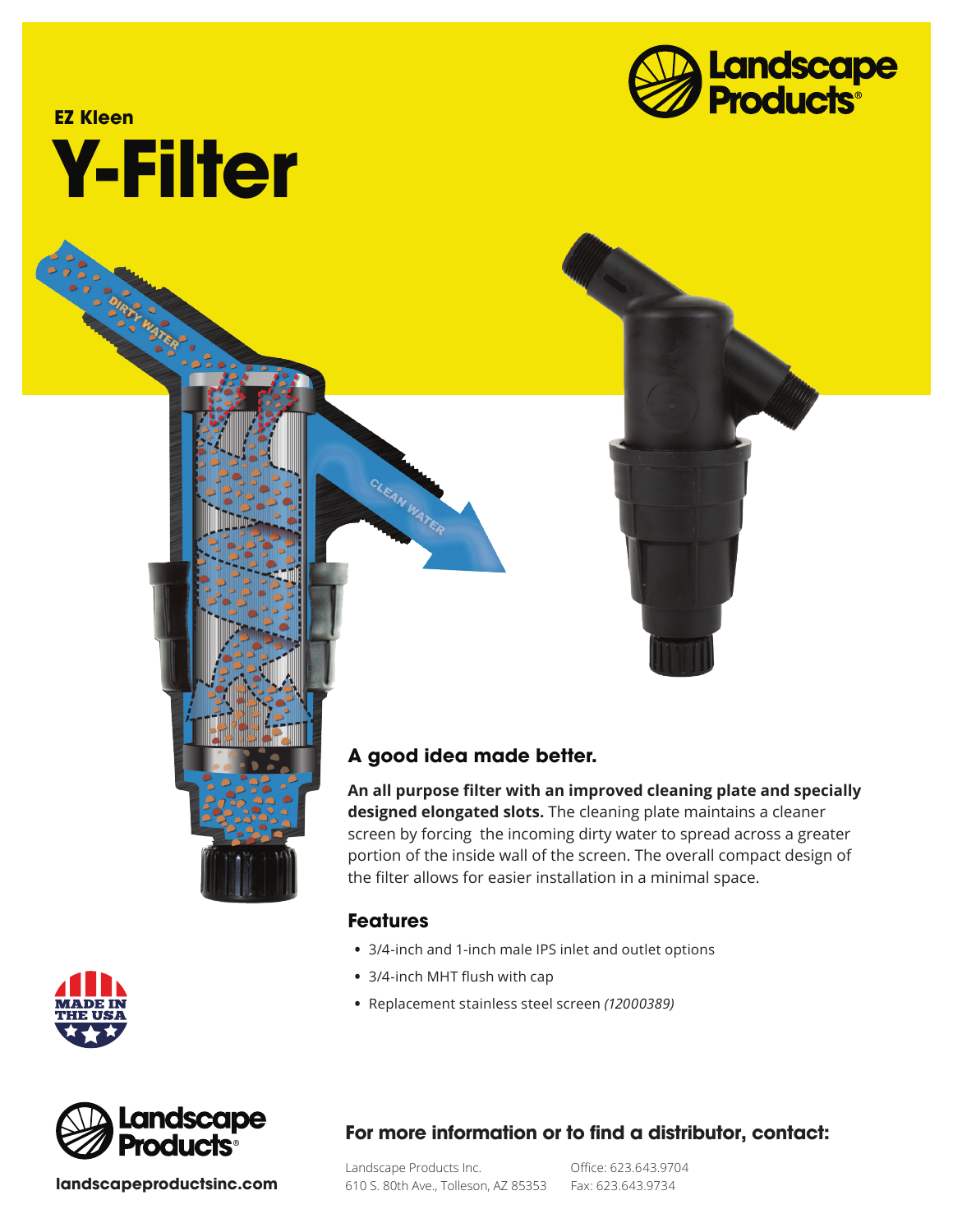

# **Y-Filter EZ Kleen**



**An all purpose filter with an improved cleaning plate and specially designed elongated slots.** The cleaning plate maintains a cleaner screen by forcing the incoming dirty water to spread across a greater portion of the inside wall of the screen. The overall compact design of the filter allows for easier installation in a minimal space.

#### **Features**

CLEAN WATER

- **•** 3/4-inch and 1-inch male IPS inlet and outlet options
- **•** 3/4-inch MHT flush with cap
- **•** Replacement stainless steel screen *(12000389)*



**landscapeproductsinc.com**

## **For more information or to find a distributor, contact:**

Landscape Products Inc. 610 S. 80th Ave., Tolleson, AZ 85353 Fax: 623.643.9734

Office: 623.643.9704